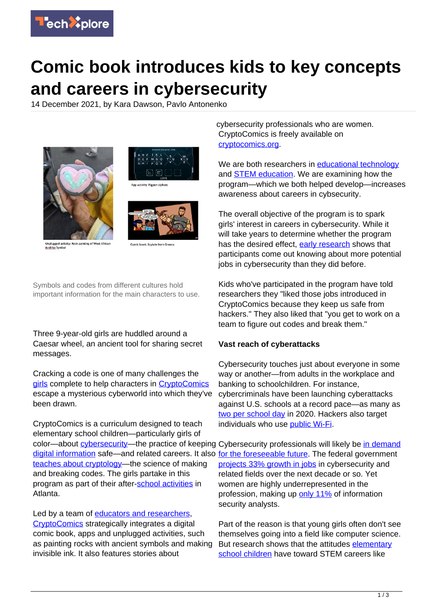

## **Comic book introduces kids to key concepts and careers in cybersecurity**

14 December 2021, by Kara Dawson, Pavlo Antonenko





App activity: Pigpen ciphers



ged activity: Rock painting of West Afric Andrika Symbo

ic book: Scytale fre

Symbols and codes from different cultures hold important information for the main characters to use.

Three 9-year-old girls are huddled around a Caesar wheel, an ancient tool for sharing secret messages.

Cracking a code is one of many challenges the [girls](https://techxplore.com/tags/girls/) complete to help characters in [CryptoComics](https://www.youtube.com/watch?v=lmQzIhL9vzk&t=5s) escape a mysterious cyberworld into which they've been drawn.

CryptoComics is a curriculum designed to teach elementary school children—particularly girls of color—about *cybersecurity*—the practice of keeping Cybersecurity professionals will likely be [in demand](https://www.bls.gov/ooh/computer-and-information-technology/information-security-analysts.htm) [digital information](https://techxplore.com/tags/digital+information/) safe—and related careers. It also [for the foreseeable future](https://www.bls.gov/ooh/computer-and-information-technology/information-security-analysts.htm). The federal government [teaches about cryptology—](https://www.techtarget.com/searchsecurity/definition/cryptology)the science of making and breaking codes. The girls partake in this program as part of their after[-school activities](https://techxplore.com/tags/school+activities/) in Atlanta.

Led by a team of [educators and researchers](http://cryptocomics.org/team/), [CryptoComics](https://www.nsf.gov/awardsearch/showAward?AWD_ID=1849768&HistoricalAwards=false) strategically integrates a digital comic book, apps and unplugged activities, such as painting rocks with ancient symbols and making invisible ink. It also features stories about

cybersecurity professionals who are women. CryptoComics is freely available on [cryptocomics.org.](http://cryptocomics.org/)

We are both researchers in [educational technology](https://scholar.google.com/citations?user=S078Z_EAAAAJ&hl=en) and [STEM education](https://scholar.google.com/citations?user=J1XAg5IAAAAJ&hl=en). We are examining how the program—which we both helped develop—increases awareness about careers in cybsecurity.

The overall objective of the program is to spark girls' interest in careers in cybersecurity. While it will take years to determine whether the program has the desired effect, [early research](http://cryptocomics.org/research/) shows that participants come out knowing about more potential jobs in cybersecurity than they did before.

Kids who've participated in the program have told researchers they "liked those jobs introduced in CryptoComics because they keep us safe from hackers." They also liked that "you get to work on a team to figure out codes and break them."

## **Vast reach of cyberattacks**

Cybersecurity touches just about everyone in some way or another—from adults in the workplace and banking to schoolchildren. For instance, cybercriminals have been launching cyberattacks against U.S. schools at a record pace—as many as [two per school day](https://www.bloomberg.com/news/features/2021-08-09/schools-brace-for-more-cyberattacks-after-record-2020) in 2020. Hackers also target individuals who use [public Wi-Fi](https://www.consumer.ftc.gov/articles/how-safely-use-public-wi-fi-networks).

[projects 33% growth in jobs](https://www.bls.gov/ooh/computer-and-information-technology/information-security-analysts.htm) in cybersecurity and related fields over the next decade or so. Yet women are highly underrepresented in the profession, making up [only 11%](https://www.bls.gov/cps/cpsaat11.htm) of information security analysts.

Part of the reason is that young girls often don't see themselves going into a field like computer science. But research shows that the attitudes [elementary](https://techxplore.com/tags/elementary+school+children/) [school children](https://techxplore.com/tags/elementary+school+children/) have toward STEM careers like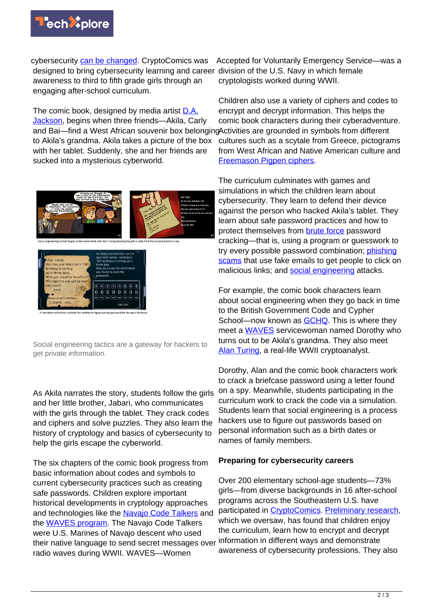

cybersecurity [can be changed.](https://doi.org/10.1007/s10758-018-9358-z) CryptoComics was designed to bring cybersecurity learning and career division of the U.S. Navy in which female awareness to third to fifth grade girls through an engaging after-school curriculum.

The comic book, designed by media artist **D.A.** [Jackson,](https://www.linkedin.com/in/d-a-jackson-a5933ba/) begins when three friends—Akila, Carly and Bai—find a West African souvenir box belonging Activities are grounded in symbols from different to Akila's grandma. Akila takes a picture of the box with her tablet. Suddenly, she and her friends are sucked into a mysterious cyberworld.





Social engineering tactics are a gateway for hackers to get private information.

As Akila narrates the story, students follow the girls and her little brother, Jabari, who communicates with the girls through the tablet. They crack codes and ciphers and solve puzzles. They also learn the history of cryptology and basics of cybersecurity to help the girls escape the cyberworld.

The six chapters of the comic book progress from basic information about codes and symbols to current cybersecurity practices such as creating safe passwords. Children explore important historical developments in cryptology approaches and technologies like the [Navajo Code Talkers](https://www.intelligence.gov/index.php/people/barrier-breakers-in-history/453-navajo-code-talkers) and the [WAVES program](https://www.britannica.com/topic/WAVES-United-States-naval-organization). The Navajo Code Talkers were U.S. Marines of Navajo descent who used their native language to send secret messages over radio waves during WWII. WAVES—Women

Accepted for Voluntarily Emergency Service—was a cryptologists worked during WWII.

Children also use a variety of ciphers and codes to encrypt and decrypt information. This helps the comic book characters during their cyberadventure. cultures such as a scytale from Greece, pictograms from West African and Native American culture and [Freemason Pigpen ciphers.](https://cyber.org/news/home-activity-encryption-pigpen-cipher)

The curriculum culminates with games and simulations in which the children learn about cybersecurity. They learn to defend their device against the person who hacked Akila's tablet. They learn about safe password practices and how to protect themselves from [brute force](https://www.imperva.com/learn/application-security/brute-force-attack/) password cracking—that is, using a program or guesswork to try every possible password combination; [phishing](https://www.scamwatch.gov.au/types-of-scams/attempts-to-gain-your-personal-information/phishing) [scams](https://www.scamwatch.gov.au/types-of-scams/attempts-to-gain-your-personal-information/phishing) that use fake emails to get people to click on malicious links; and [social engineering](https://www.webroot.com/us/en/resources/tips-articles/what-is-social-engineering) attacks.

For example, the comic book characters learn about social engineering when they go back in time to the British Government Code and Cypher School—now known as **GCHQ**. This is where they meet a [WAVES](https://www.britannica.com/topic/WAVES-United-States-naval-organization) servicewoman named Dorothy who turns out to be Akila's grandma. They also meet [Alan Turing,](https://www.nytimes.com/2019/06/05/obituaries/alan-turing-overlooked.html) a real-life WWII cryptoanalyst.

Dorothy, Alan and the comic book characters work to crack a briefcase password using a letter found on a spy. Meanwhile, students participating in the curriculum work to crack the code via a simulation. Students learn that social engineering is a process hackers use to figure out passwords based on personal information such as a birth dates or names of family members.

## **Preparing for cybersecurity careers**

Over 200 elementary school-age students—73% girls—from diverse backgrounds in 16 after-school programs across the Southeastern U.S. have participated in [CryptoComics](https://stemforall2021.videohall.com/presentations/1925). [Preliminary research](http://cryptocomics.org/research/), which we oversaw, has found that children enjoy the curriculum, learn how to encrypt and decrypt information in different ways and demonstrate awareness of cybersecurity professions. They also